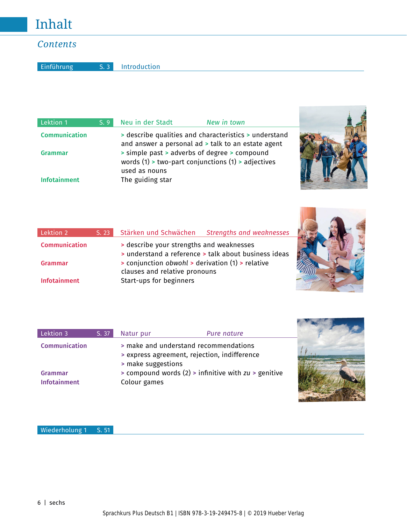## *Contents*

Einführung S. 3 Introduction

| Lektion 1            | S.9 | Neu in der Stadt                                                                                                    | New in town                                           |  |
|----------------------|-----|---------------------------------------------------------------------------------------------------------------------|-------------------------------------------------------|--|
| <b>Communication</b> |     | and answer a personal ad > talk to an estate agent                                                                  | > describe qualities and characteristics > understand |  |
| <b>Grammar</b>       |     | > simple past > adverbs of degree > compound<br>words (1) > two-part conjunctions (1) > adjectives<br>used as nouns |                                                       |  |
| <b>Infotainment</b>  |     | The guiding star                                                                                                    |                                                       |  |

| Lektion 2            | S. 23 | Stärken und Schwächen                                                             | Strengths and weaknesses                             |
|----------------------|-------|-----------------------------------------------------------------------------------|------------------------------------------------------|
| <b>Communication</b> |       | Solution describe your strengths and weaknesses                                   | I understand a reference > talk about business ideas |
| Grammar              |       | > conjunction obwohl > derivation (1) > relative<br>clauses and relative pronouns |                                                      |
| <b>Infotainment</b>  |       | Start-ups for beginners                                                           |                                                      |



**Burning Street** 

| Lektion 3                      | S. 37 | Natur pur                          | Pure nature                                                                           |  |
|--------------------------------|-------|------------------------------------|---------------------------------------------------------------------------------------|--|
| <b>Communication</b>           |       |                                    | > make and understand recommendations<br>> express agreement, rejection, indifference |  |
| Grammar<br><b>Infotainment</b> |       | > make suggestions<br>Colour games | $>$ compound words (2) $>$ infinitive with $zu >$ genitive                            |  |

Wiederholung 1 S. 51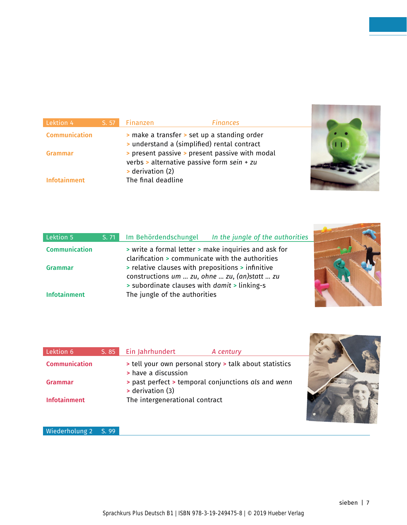| Lektion 4            | S. 57 | <b>Finanzen</b>                                    | <b>Finances</b>                                                                                                                             |
|----------------------|-------|----------------------------------------------------|---------------------------------------------------------------------------------------------------------------------------------------------|
| <b>Communication</b> |       |                                                    | > make a transfer > set up a standing order                                                                                                 |
| Grammar              |       |                                                    | > understand a (simplified) rental contract<br>> present passive > present passive with modal<br>verbs > alternative passive form sein + zu |
| Infotainment         |       | $\rightarrow$ derivation (2)<br>The final deadline |                                                                                                                                             |

| Lektion 5            | S. 71 | Im Behördendschungel<br>In the jungle of the authorities |  |
|----------------------|-------|----------------------------------------------------------|--|
| <b>Communication</b> |       | > write a formal letter > make inquiries and ask for     |  |
|                      |       | clarification > communicate with the authorities         |  |
| <b>Grammar</b>       |       | > relative clauses with prepositions > infinitive        |  |
|                      |       | constructions um  zu, ohne  zu, (an)statt  zu            |  |
|                      |       | > subordinate clauses with <i>damit</i> > linking-s      |  |
| <b>Infotainment</b>  |       | The jungle of the authorities                            |  |

| Lektion 6            | S. 85 | Ein Jahrhundert                | A century                                              |  |
|----------------------|-------|--------------------------------|--------------------------------------------------------|--|
| <b>Communication</b> |       | > have a discussion            | > tell your own personal story > talk about statistics |  |
| Grammar              |       | > derivation (3)               | past perfect > temporal conjunctions als and wenn      |  |
| <b>Infotainment</b>  |       | The intergenerational contract |                                                        |  |

Wiederholung 2 S. 99

 $\overline{\mathbf{S}}$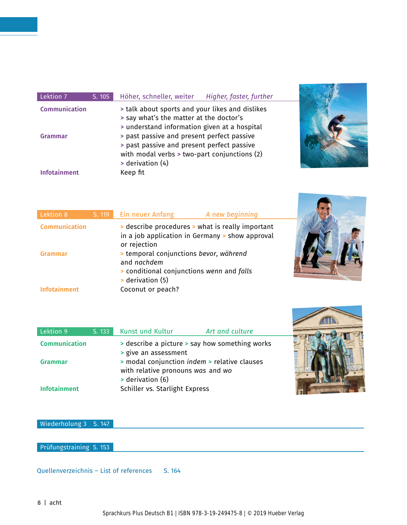| Lektion 7      | S. 105 | Höher, schneller, weiter<br>Higher, faster, further                                                                                                            |
|----------------|--------|----------------------------------------------------------------------------------------------------------------------------------------------------------------|
| Communication  |        | If talk about sports and your likes and dislikes<br>> say what's the matter at the doctor's<br>> understand information given at a hospital                    |
| <b>Grammar</b> |        | > past passive and present perfect passive<br>> past passive and present perfect passive<br>with modal verbs > two-part conjunctions (2)<br>$>$ derivation (4) |
| Infotainment   |        | Keep fit                                                                                                                                                       |



| Lektion 8            | S. 119 Ein neuer Anfang<br>A new beginning                                                                             |
|----------------------|------------------------------------------------------------------------------------------------------------------------|
| <b>Communication</b> | If describe procedures > what is really important<br>in a job application in Germany > show approval<br>or rejection   |
| Grammar              | > temporal conjunctions bevor, während<br>and nachdem<br>> conditional conjunctions wenn and falls<br>> derivation (5) |
| <b>Infotainment</b>  | Coconut or peach?                                                                                                      |

| Lektion 9            | S. 133 | Kunst und Kultur                                                                                      | Art and culture                                |  |
|----------------------|--------|-------------------------------------------------------------------------------------------------------|------------------------------------------------|--|
| <b>Communication</b> |        | > give an assessment                                                                                  | > describe a picture > say how something works |  |
| <b>Grammar</b>       |        | > modal conjunction indem > relative clauses<br>with relative pronouns was and wo<br>> derivation (6) |                                                |  |
| <b>Infotainment</b>  |        | Schiller vs. Starlight Express                                                                        |                                                |  |

## A

Wiederholung 3 S. 147

Prüfungstraining S. 153

Quellenverzeichnis - List of references S. 164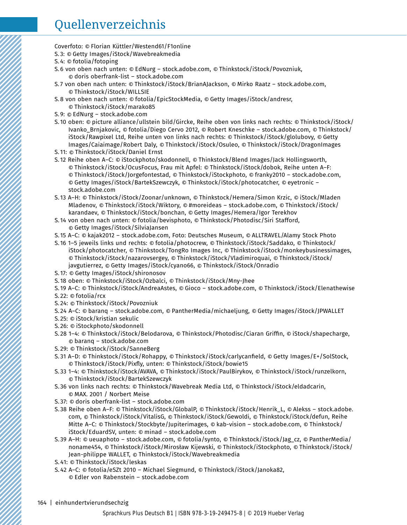## Quellenverzeichnis

- Coverfoto: © Florian Küttler/Westend61/F1online
- S. 3: © Getty Images/iStock/Wavebreakmedia
- S. 4: © fotolia/fotoping
- S. 6 von oben nach unten: © EdNurg stock.adobe.com, © Thinkstock/iStock/Povozniuk, © doris oberfrank-list – stock.adobe.com
- S. 7 von oben nach unten: © Thinkstock/iStock/BrianAJackson, © Mirko Raatz stock.adobe.com, © Thinkstock/iStock/WILLSIE
- S. 8 von oben nach unten: © fotolia/EpicStockMedia, © Getty Images/iStock/andresr, © Thinkstock/iStock/marako85
- S. 9: © EdNurg stock.adobe.com
- S. 10 oben: © picture alliance/ullstein bild/Gircke, Reihe oben von links nach rechts: © Thinkstock/iStock/ Ivanko\_Brnjakovic, © fotolia/Diego Cervo 2012, © Robert Kneschke – stock.adobe.com, © Thinkstock/ iStock/Rawpixel Ltd, Reihe unten von links nach rechts: © Thinkstock/iStock/glolubovy, © Getty Images/Caiaimage/Robert Daly, © Thinkstock/iStock/Osuleo, © Thinkstock/iStock/DragonImages
- S. 11: © Thinkstock/iStock/Daniel Ernst
- S. 12 Reihe oben A–C: © iStockphoto/skodonnell, © Thinkstock/Blend Images/Jack Hollingsworth, © Thinkstock/iStock/OcusFocus, Frau mit Apfel: © Thinkstock/iStock/dobok, Reihe unten A–F: © Thinkstock/iStock/Jorgefontestad, © Thinkstock/iStockphoto, © franky2010 – stock.adobe.com, © Getty Images/iStock/BartekSzewczyk, © Thinkstock/iStock/photocatcher, © eyetronic – stock.adobe.com
- S. 13 A–H: © Thinkstock/iStock/Zoonar/unknown, © Thinkstock/Hemera/Simon Krzic, © iStock/Mladen Mladenov, © Thinkstock/iStock/Wiktory, © #moreideas – stock.adobe.com, © Thinkstock/iStock/ karandaev, © Thinkstock/iStock/bonchan, © Getty Images/Hemera/Igor Terekhov
- S. 14 von oben nach unten: © fotolia/bevisphoto, © Thinkstock/Photodisc/Siri Stafford, © Getty Images/iStock/SilviaJansen
- S. 15 A–C: © kajak2012 stock.adobe.com, Foto: Deutsches Museum, © ALLTRAVEL/Alamy Stock Photo
- S. 16 1–5 jeweils links und rechts: © fotolia/photocrew, © Thinkstock/iStock/Saddako, © Thinkstock/ iStock/photocatcher, © Thinkstock/TongRo Images Inc, © Thinkstock/iStock/monkeybusinessimages, © Thinkstock/iStock/nazarovsergey, © Thinkstock/iStock/Vladimiroquai, © Thinkstock/iStock/ javgutierrez, © Getty Images/iStock/cyano66, © Thinkstock/iStock/Onradio
- S. 17: © Getty Images/iStock/shironosov
- S. 18 oben: © Thinkstock/iStock/Ozbalci, © Thinkstock/iStock/Mny-Jhee
- S. 19 A–C: © Thinkstock/iStock/AndreaAstes, © Gioco stock.adobe.com, © Thinkstock/iStock/Elenathewise S. 22: © fotolia/rcx
- S. 24: © Thinkstock/iStock/Povozniuk
- S. 24 A–C: © baranq stock.adobe.com, © PantherMedia/michaeljung, © Getty Images/iStock/JPWALLET
- S. 25: © iStock/kristian sekulic
- S. 26: © iStockphoto/skodonnell
- S. 28 1–4: © Thinkstock/iStock/Belodarova, © Thinkstock/Photodisc/Ciaran Griffin, © iStock/shapecharge, © baranq – stock.adobe.com
- S. 29: © Thinkstock/iStock/SanneBerg
- S. 31 A–D: © Thinkstock/iStock/Rohappy, © Thinkstock/iStock/carlycanfield, © Getty Images/E+/SolStock, © Thinkstock/iStock/Pixfly, unten: © Thinkstock/iStock/bowie15
- S. 33 1–4: © Thinkstock/iStock/AVAVA, © Thinkstock/iStock/PaulBirykov, © Thinkstock/iStock/runzelkorn, © Thinkstock/iStock/BartekSzewczyk
- S. 36 von links nach rechts: © Thinkstock/Wavebreak Media Ltd, © Thinkstock/iStock/eldadcarin, © MAX. 2001 / Norbert Meise
- S. 37: © doris oberfrank-list stock.adobe.com
- S. 38 Reihe oben A–F: © Thinkstock/iStock/GlobalP, © Thinkstock/iStock/Henrik\_L, © Alekss stock.adobe. com, © Thinkstock/iStock/VitalisG, © Thinkstock/iStock/Gewoldi, © Thinkstock/iStock/defun, Reihe Mitte A–C: © Thinkstock/Stockbyte/Jupiterimages, © kab-vision – stock.adobe.com, © Thinkstock/ iStock/EduardSV, unten: © minad – stock.adobe.com
- S. 39 A–H: © ueuaphoto stock.adobe.com, © fotolia/synto, © Thinkstock/iStock/Jag\_cz, © PantherMedia/ noname454, © Thinkstock/iStock/Mirosław Kijewski, © Thinkstock/iStockphoto, © Thinkstock/iStock/ Jean-philippe WALLET, © Thinkstock/iStock/Wavebreakmedia
- S. 41: © Thinkstock/iStock/leskas
- S. 42 A–C: © fotolia/eSZt 2010 Michael Siegmund, © Thinkstock/iStock/Janoka82, © Edler von Rabenstein – stock.adobe.com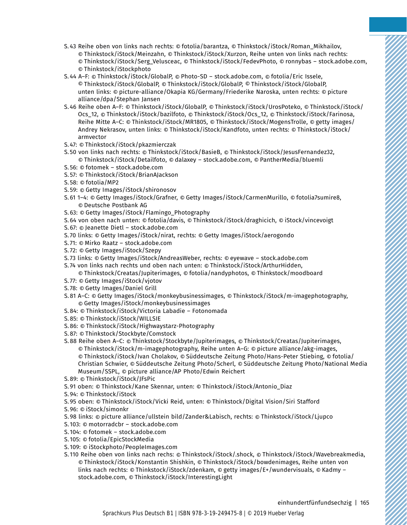- S. 43 Reihe oben von links nach rechts: © fotolia/barantza, © Thinkstock/iStock/Roman\_Mikhailov, © Thinkstock/iStock/Meinzahn, © Thinkstock/iStock/Xurzon, Reihe unten von links nach rechts: © Thinkstock/iStock/Serg\_Velusceac, © Thinkstock/iStock/FedevPhoto, © ronnybas – stock.adobe.com, © Thinkstock/iStockphoto
- S. 44 A–F: © Thinkstock/iStock/GlobalP, © Photo-SD stock.adobe.com, © fotolia/Eric Issele, © Thinkstock/iStock/GlobalP, © Thinkstock/iStock/GlobalP, © Thinkstock/iStock/GlobalP, unten links: © picture-alliance/Okapia KG/Germany/Friederike Naroska, unten rechts: © picture alliance/dpa/Stephan Jansen
- S. 46 Reihe oben A–F: © Thinkstock/iStock/GlobalP, © Thinkstock/iStock/UrosPoteko, © Thinkstock/iStock/ Ocs\_12, © Thinkstock/iStock/bazilfoto, © Thinkstock/iStock/Ocs\_12, © Thinkstock/iStock/Farinosa, Reihe Mitte A–C: © Thinkstock/iStock/MR1805, © Thinkstock/iStock/MogensTrolle, © getty images/ Andrey Nekrasov, unten links: © Thinkstock/iStock/Kandfoto, unten rechts: © Thinkstock/iStock/ armvector
- S. 47: © Thinkstock/iStock/pkazmierczak
- S. 50 von links nach rechts: © Thinkstock/iStock/BasieB, © Thinkstock/iStock/JesusFernandez32, © Thinkstock/iStock/Detailfoto, © dalaxey – stock.adobe.com, © PantherMedia/bluemli
- S. 56: © fotomek stock.adobe.com
- S. 57: © Thinkstock/iStock/BrianAJackson
- S. 58: © fotolia/MP2
- S. 59: © Getty Images/iStock/shironosov
- S. 61 1–4: © Getty Images/iStock/Grafner, © Getty Images/iStock/CarmenMurillo, © fotolia7sumire8, © Deutsche Postbank AG
- S. 63: © Getty Images/iStock/Flamingo\_Photography
- S. 64 von oben nach unten: © fotolia/davis, © Thinkstock/iStock/draghicich, © iStock/vincevoigt
- S. 67: © Jeanette Dietl stock.adobe.com
- S. 70 links: © Getty Images/iStock/nirat, rechts: © Getty Images/iStock/aerogondo
- S. 71: © Mirko Raatz stock.adobe.com
- S. 72: © Getty Images/iStock/Szepy
- S. 73 links: © Getty Images/iStock/AndreasWeber, rechts: © eyewave stock.adobe.com
- S. 74 von links nach rechts und oben nach unten: © Thinkstock/iStock/ArthurHidden,

© Thinkstock/Creatas/Jupiterimages, © fotolia/nandyphotos, © Thinkstock/moodboard

- S. 77: © Getty Images/iStock/vjotov
- S. 78: © Getty Images/Daniel Grill
- S. 81 A–C: © Getty Images/iStock/monkeybusinessimages, © Thinkstock/iStock/m-imagephotography, © Getty Images/iStock/monkeybusinessimages
- S. 84: © Thinkstock/iStock/Victoria Labadie Fotonomada
- S. 85: © Thinkstock/iStock/WILLSIE
- S. 86: © Thinkstock/iStock/Highwaystarz-Photography
- S. 87: © Thinkstock/Stockbyte/Comstock
- S. 88 Reihe oben A–C: © Thinkstock/Stockbyte/Jupiterimages, © Thinkstock/Creatas/Jupiterimages, © Thinkstock/iStock/m-imagephotography, Reihe unten A–G: © picture alliance/akg-images, © Thinkstock/iStock/Ivan Cholakov, © Süddeutsche Zeitung Photo/Hans-Peter Stiebing, © fotolia/ Christian Schwier, © Süddeutsche Zeitung Photo/Scherl, © Süddeutsche Zeitung Photo/National Media Museum/SSPL, © picture alliance/AP Photo/Edwin Reichert
- S. 89: © Thinkstock/iStock/JFsPic
- S. 91 oben: © Thinkstock/Kane Skennar, unten: © Thinkstock/iStock/Antonio\_Diaz
- S. 94: © Thinkstock/iStock
- S. 95 oben: © Thinkstock/iStock/Vicki Reid, unten: © Thinkstock/Digital Vision/Siri Stafford
- S. 96: © iStock/simonkr
- S. 98 links: © picture alliance/ullstein bild/Zander&Labisch, rechts: © Thinkstock/iStock/Ljupco
- S. 103: © motorradcbr stock.adobe.com
- S. 104: © fotomek stock.adobe.com
- S. 105: © fotolia/EpicStockMedia
- S. 109: © iStockphoto/PeopleImages.com
- S. 110 Reihe oben von links nach rechs: © Thinkstock/iStock/.shock, © Thinkstock/iStock/Wavebreakmedia, © Thinkstock/iStock/Konstantin Shishkin, © Thinkstock/iStock/bowdenimages, Reihe unten von links nach rechts: © Thinkstock/iStock/zdenkam, © getty images/E+/wundervisuals, © Kadmy – stock.adobe.com, © Thinkstock/iStock/InterestingLight